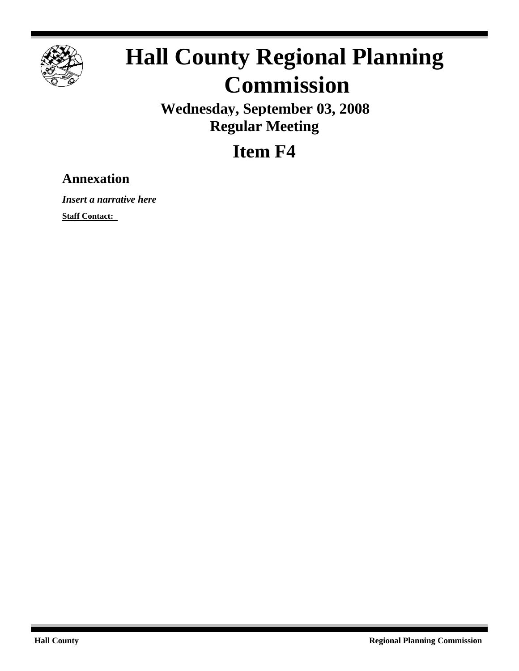

# **Hall County Regional Planning Commission**

**Wednesday, September 03, 2008 Regular Meeting**

**Item F4**

## **Annexation**

*Insert a narrative here*

**Staff Contact:**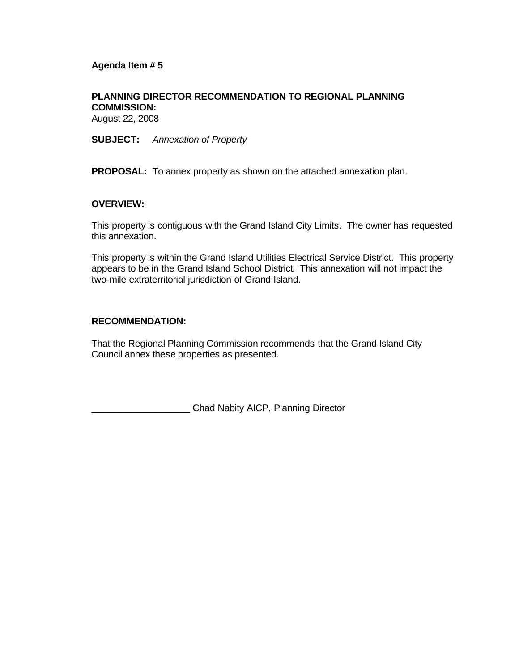#### **Agenda Item # 5**

#### **PLANNING DIRECTOR RECOMMENDATION TO REGIONAL PLANNING COMMISSION:**

August 22, 2008

**SUBJECT:** *Annexation of Property*

**PROPOSAL:** To annex property as shown on the attached annexation plan.

#### **OVERVIEW:**

This property is contiguous with the Grand Island City Limits. The owner has requested this annexation.

This property is within the Grand Island Utilities Electrical Service District. This property appears to be in the Grand Island School District. This annexation will not impact the two-mile extraterritorial jurisdiction of Grand Island.

#### **RECOMMENDATION:**

That the Regional Planning Commission recommends that the Grand Island City Council annex these properties as presented.

\_\_\_\_\_\_\_\_\_\_\_\_\_\_\_\_\_\_\_ Chad Nabity AICP, Planning Director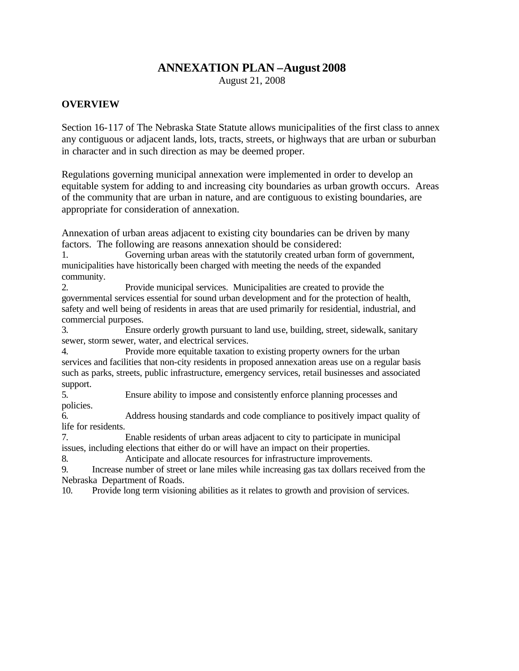#### **ANNEXATION PLAN –August 2008**

August 21, 2008

#### **OVERVIEW**

Section 16-117 of The Nebraska State Statute allows municipalities of the first class to annex any contiguous or adjacent lands, lots, tracts, streets, or highways that are urban or suburban in character and in such direction as may be deemed proper.

Regulations governing municipal annexation were implemented in order to develop an equitable system for adding to and increasing city boundaries as urban growth occurs. Areas of the community that are urban in nature, and are contiguous to existing boundaries, are appropriate for consideration of annexation.

Annexation of urban areas adjacent to existing city boundaries can be driven by many factors. The following are reasons annexation should be considered:

1. Governing urban areas with the statutorily created urban form of government, municipalities have historically been charged with meeting the needs of the expanded community.

2. Provide municipal services. Municipalities are created to provide the governmental services essential for sound urban development and for the protection of health, safety and well being of residents in areas that are used primarily for residential, industrial, and commercial purposes.

3. Ensure orderly growth pursuant to land use, building, street, sidewalk, sanitary sewer, storm sewer, water, and electrical services.

4. Provide more equitable taxation to existing property owners for the urban services and facilities that non-city residents in proposed annexation areas use on a regular basis such as parks, streets, public infrastructure, emergency services, retail businesses and associated support.

5. Ensure ability to impose and consistently enforce planning processes and policies.

6. Address housing standards and code compliance to positively impact quality of life for residents.

7. Enable residents of urban areas adjacent to city to participate in municipal issues, including elections that either do or will have an impact on their properties.

8. Anticipate and allocate resources for infrastructure improvements.

9. Increase number of street or lane miles while increasing gas tax dollars received from the Nebraska Department of Roads.

10. Provide long term visioning abilities as it relates to growth and provision of services.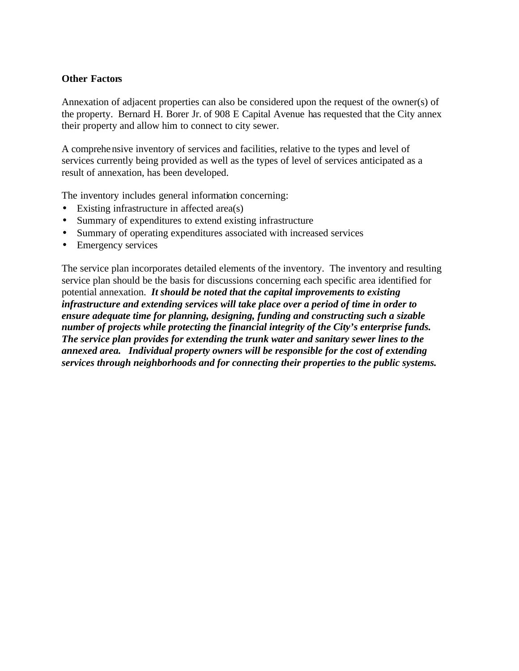#### **Other Factors**

Annexation of adjacent properties can also be considered upon the request of the owner(s) of the property. Bernard H. Borer Jr. of 908 E Capital Avenue has requested that the City annex their property and allow him to connect to city sewer.

A comprehensive inventory of services and facilities, relative to the types and level of services currently being provided as well as the types of level of services anticipated as a result of annexation, has been developed.

The inventory includes general information concerning:

- Existing infrastructure in affected area(s)
- Summary of expenditures to extend existing infrastructure
- Summary of operating expenditures associated with increased services
- Emergency services

The service plan incorporates detailed elements of the inventory. The inventory and resulting service plan should be the basis for discussions concerning each specific area identified for potential annexation. *It should be noted that the capital improvements to existing infrastructure and extending services will take place over a period of time in order to ensure adequate time for planning, designing, funding and constructing such a sizable number of projects while protecting the financial integrity of the City's enterprise funds. The service plan provides for extending the trunk water and sanitary sewer lines to the annexed area. Individual property owners will be responsible for the cost of extending services through neighborhoods and for connecting their properties to the public systems.*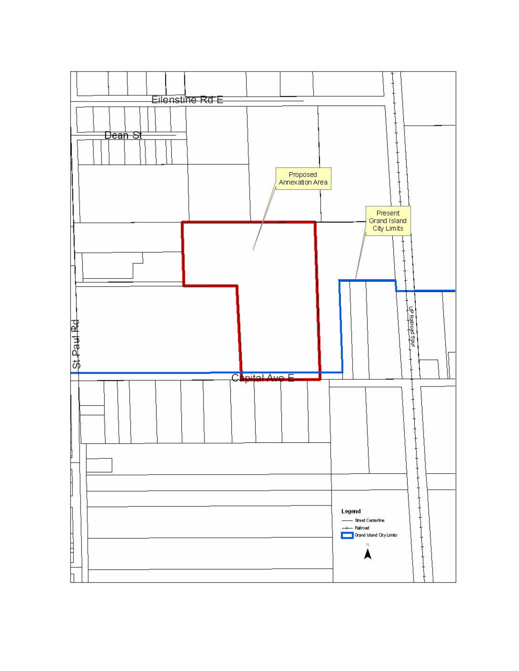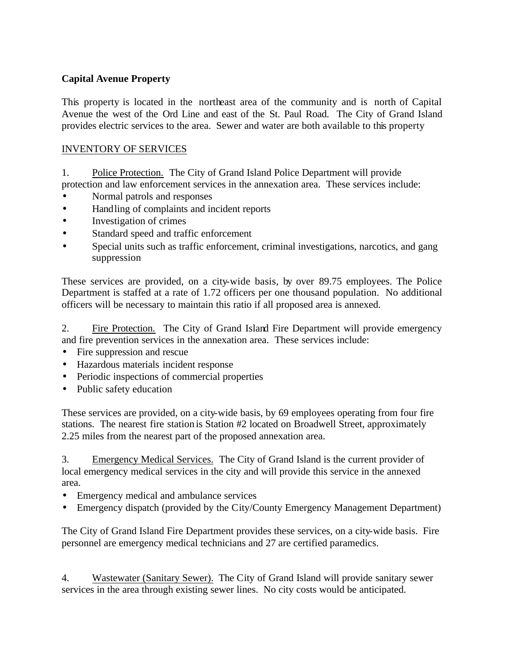#### **Capital Avenue Property**

This property is located in the northeast area of the community and is north of Capital Avenue the west of the Ord Line and east of the St. Paul Road. The City of Grand Island provides electric services to the area. Sewer and water are both available to this property

#### INVENTORY OF SERVICES

1. Police Protection. The City of Grand Island Police Department will provide protection and law enforcement services in the annexation area. These services include:

- Normal patrols and responses
- Handling of complaints and incident reports
- Investigation of crimes
- Standard speed and traffic enforcement
- Special units such as traffic enforcement, criminal investigations, narcotics, and gang suppression

These services are provided, on a city-wide basis, by over 89.75 employees. The Police Department is staffed at a rate of 1.72 officers per one thousand population. No additional officers will be necessary to maintain this ratio if all proposed area is annexed.

2. Fire Protection. The City of Grand Island Fire Department will provide emergency and fire prevention services in the annexation area. These services include:

- Fire suppression and rescue
- Hazardous materials incident response
- Periodic inspections of commercial properties
- Public safety education

These services are provided, on a city-wide basis, by 69 employees operating from four fire stations. The nearest fire station is Station #2 located on Broadwell Street, approximately 2.25 miles from the nearest part of the proposed annexation area.

3. Emergency Medical Services. The City of Grand Island is the current provider of local emergency medical services in the city and will provide this service in the annexed area.

- Emergency medical and ambulance services
- Emergency dispatch (provided by the City/County Emergency Management Department)

The City of Grand Island Fire Department provides these services, on a city-wide basis. Fire personnel are emergency medical technicians and 27 are certified paramedics.

4. Wastewater (Sanitary Sewer). The City of Grand Island will provide sanitary sewer services in the area through existing sewer lines. No city costs would be anticipated.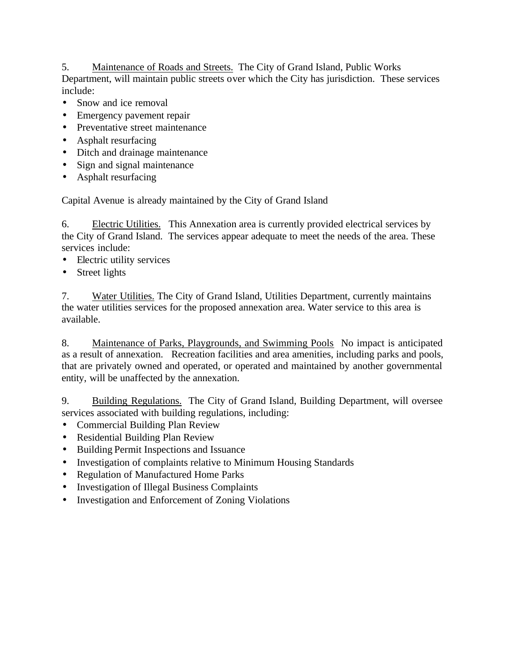#### 5. Maintenance of Roads and Streets. The City of Grand Island, Public Works Department, will maintain public streets over which the City has jurisdiction. These services include:

- Snow and ice removal
- Emergency pavement repair
- Preventative street maintenance
- Asphalt resurfacing
- Ditch and drainage maintenance
- Sign and signal maintenance
- Asphalt resurfacing

Capital Avenue is already maintained by the City of Grand Island

6. Electric Utilities. This Annexation area is currently provided electrical services by the City of Grand Island. The services appear adequate to meet the needs of the area. These services include:

- Electric utility services
- Street lights

7. Water Utilities. The City of Grand Island, Utilities Department, currently maintains the water utilities services for the proposed annexation area. Water service to this area is available.

8. Maintenance of Parks, Playgrounds, and Swimming Pools No impact is anticipated as a result of annexation. Recreation facilities and area amenities, including parks and pools, that are privately owned and operated, or operated and maintained by another governmental entity, will be unaffected by the annexation.

9. Building Regulations. The City of Grand Island, Building Department, will oversee services associated with building regulations, including:

- Commercial Building Plan Review
- Residential Building Plan Review
- Building Permit Inspections and Issuance
- Investigation of complaints relative to Minimum Housing Standards
- Regulation of Manufactured Home Parks
- Investigation of Illegal Business Complaints
- Investigation and Enforcement of Zoning Violations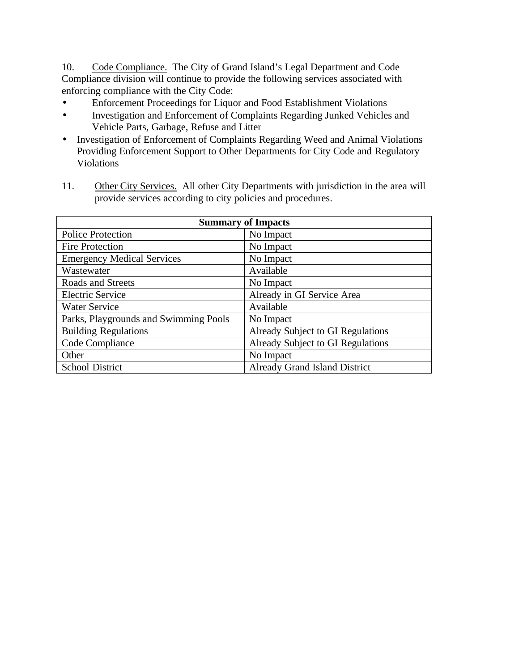10. Code Compliance. The City of Grand Island's Legal Department and Code Compliance division will continue to provide the following services associated with enforcing compliance with the City Code:

- Enforcement Proceedings for Liquor and Food Establishment Violations
- Investigation and Enforcement of Complaints Regarding Junked Vehicles and Vehicle Parts, Garbage, Refuse and Litter
- Investigation of Enforcement of Complaints Regarding Weed and Animal Violations Providing Enforcement Support to Other Departments for City Code and Regulatory Violations

| provide services according to city policies and procedures. |                            |  |  |  |
|-------------------------------------------------------------|----------------------------|--|--|--|
| <b>Summary of Impacts</b>                                   |                            |  |  |  |
| <b>Police Protection</b>                                    | No Impact                  |  |  |  |
| <b>Fire Protection</b>                                      | No Impact                  |  |  |  |
| <b>Emergency Medical Services</b>                           | No Impact                  |  |  |  |
| Wastewater                                                  | Available                  |  |  |  |
| Roads and Streets                                           | No Impact                  |  |  |  |
| <b>Electric Service</b>                                     | Already in GI Service Area |  |  |  |

Building Regulations Already Subject to GI Regulations Code Compliance Already Subject to GI Regulations

School District Already Grand Island District

Water Service Available Parks, Playgrounds and Swimming Pools | No Impact

Other No Impact

11. Other City Services. All other City Departments with jurisdiction in the area will provide services according to city policies and procedures.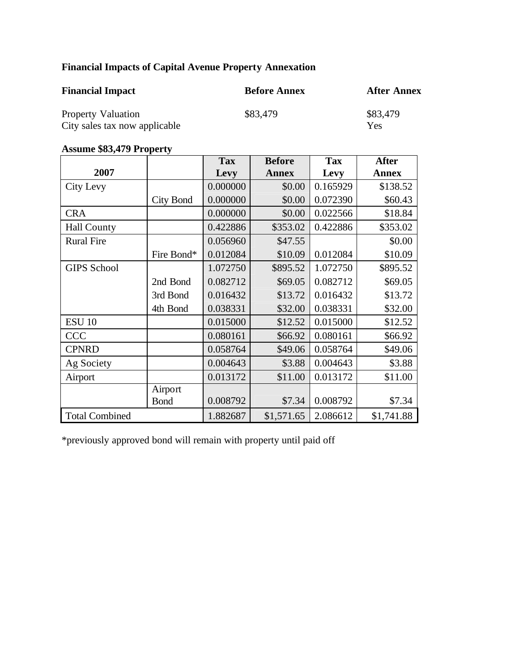### **Financial Impacts of Capital Avenue Property Annexation**

| <b>Financial Impact</b>       | <b>Before Annex</b> | <b>After Annex</b> |
|-------------------------------|---------------------|--------------------|
| <b>Property Valuation</b>     | \$83,479            | \$83,479           |
| City sales tax now applicable |                     | Yes                |

#### **Assume \$83,479 Property**

|                       |                  | <b>Tax</b> | <b>Before</b> | <b>Tax</b> | <b>After</b> |
|-----------------------|------------------|------------|---------------|------------|--------------|
| 2007                  |                  | Levy       | <b>Annex</b>  | Levy       | <b>Annex</b> |
| City Levy             |                  | 0.000000   | \$0.00        | 0.165929   | \$138.52     |
|                       | <b>City Bond</b> | 0.000000   | \$0.00        | 0.072390   | \$60.43      |
| <b>CRA</b>            |                  | 0.000000   | \$0.00        | 0.022566   | \$18.84      |
| <b>Hall County</b>    |                  | 0.422886   | \$353.02      | 0.422886   | \$353.02     |
| <b>Rural Fire</b>     |                  | 0.056960   | \$47.55       |            | \$0.00       |
|                       | Fire Bond*       | 0.012084   | \$10.09       | 0.012084   | \$10.09      |
| <b>GIPS School</b>    |                  | 1.072750   | \$895.52      | 1.072750   | \$895.52     |
|                       | 2nd Bond         | 0.082712   | \$69.05       | 0.082712   | \$69.05      |
|                       | 3rd Bond         | 0.016432   | \$13.72       | 0.016432   | \$13.72      |
|                       | 4th Bond         | 0.038331   | \$32.00       | 0.038331   | \$32.00      |
| <b>ESU 10</b>         |                  | 0.015000   | \$12.52       | 0.015000   | \$12.52      |
| <b>CCC</b>            |                  | 0.080161   | \$66.92       | 0.080161   | \$66.92      |
| <b>CPNRD</b>          |                  | 0.058764   | \$49.06       | 0.058764   | \$49.06      |
| Ag Society            |                  | 0.004643   | \$3.88        | 0.004643   | \$3.88       |
| Airport               |                  | 0.013172   | \$11.00       | 0.013172   | \$11.00      |
|                       | Airport          |            |               |            |              |
|                       | <b>Bond</b>      | 0.008792   | \$7.34        | 0.008792   | \$7.34       |
| <b>Total Combined</b> |                  | 1.882687   | \$1,571.65    | 2.086612   | \$1,741.88   |

\*previously approved bond will remain with property until paid off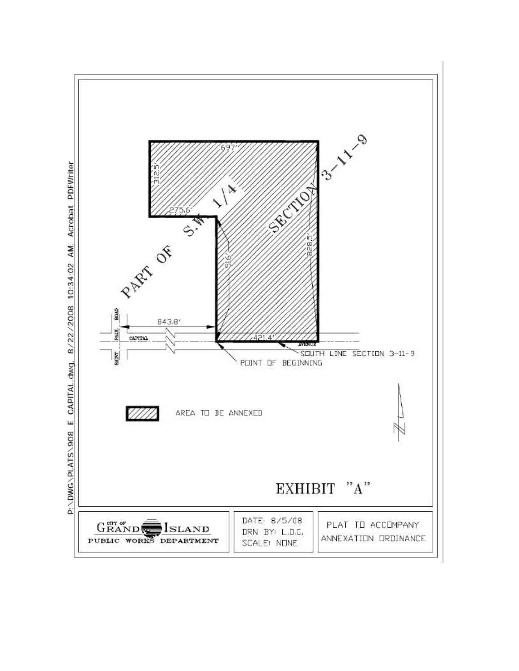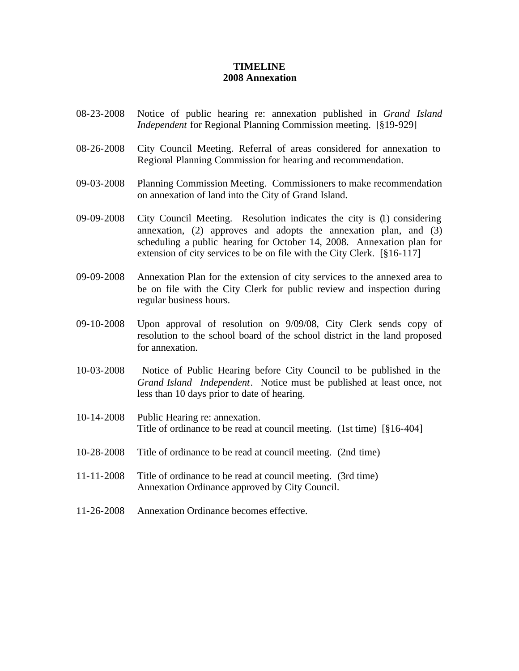#### **TIMELINE 2008 Annexation**

- 08-23-2008 Notice of public hearing re: annexation published in *Grand Island Independent* for Regional Planning Commission meeting. [§19-929]
- 08-26-2008 City Council Meeting. Referral of areas considered for annexation to Regional Planning Commission for hearing and recommendation.
- 09-03-2008 Planning Commission Meeting. Commissioners to make recommendation on annexation of land into the City of Grand Island.
- 09-09-2008 City Council Meeting. Resolution indicates the city is (1) considering annexation, (2) approves and adopts the annexation plan, and (3) scheduling a public hearing for October 14, 2008. Annexation plan for extension of city services to be on file with the City Clerk. [§16-117]
- 09-09-2008 Annexation Plan for the extension of city services to the annexed area to be on file with the City Clerk for public review and inspection during regular business hours.
- 09-10-2008 Upon approval of resolution on 9/09/08, City Clerk sends copy of resolution to the school board of the school district in the land proposed for annexation.
- 10-03-2008 Notice of Public Hearing before City Council to be published in the *Grand Island Independent*. Notice must be published at least once, not less than 10 days prior to date of hearing.
- 10-14-2008 Public Hearing re: annexation. Title of ordinance to be read at council meeting. (1st time) [§16-404]
- 10-28-2008 Title of ordinance to be read at council meeting. (2nd time)
- 11-11-2008 Title of ordinance to be read at council meeting. (3rd time) Annexation Ordinance approved by City Council.
- 11-26-2008 Annexation Ordinance becomes effective.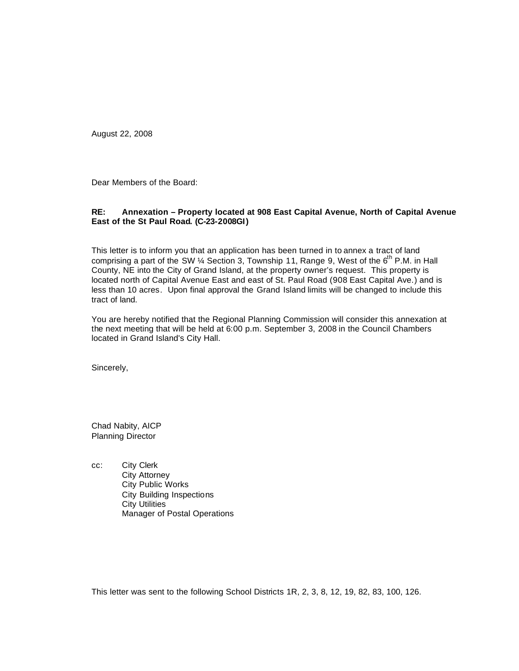August 22, 2008

Dear Members of the Board:

#### **RE: Annexation – Property located at 908 East Capital Avenue, North of Capital Avenue East of the St Paul Road. (C-23-2008GI)**

This letter is to inform you that an application has been turned in to annex a tract of land comprising a part of the SW  $\frac{1}{4}$  Section 3, Township 11, Range 9, West of the  $6^{th}$  P.M. in Hall County, NE into the City of Grand Island, at the property owner's request. This property is located north of Capital Avenue East and east of St. Paul Road (908 East Capital Ave.) and is less than 10 acres. Upon final approval the Grand Island limits will be changed to include this tract of land.

You are hereby notified that the Regional Planning Commission will consider this annexation at the next meeting that will be held at 6:00 p.m. September 3, 2008 in the Council Chambers located in Grand Island's City Hall.

Sincerely,

Chad Nabity, AICP Planning Director

cc: City Clerk City Attorney City Public Works City Building Inspections City Utilities Manager of Postal Operations

This letter was sent to the following School Districts 1R, 2, 3, 8, 12, 19, 82, 83, 100, 126.